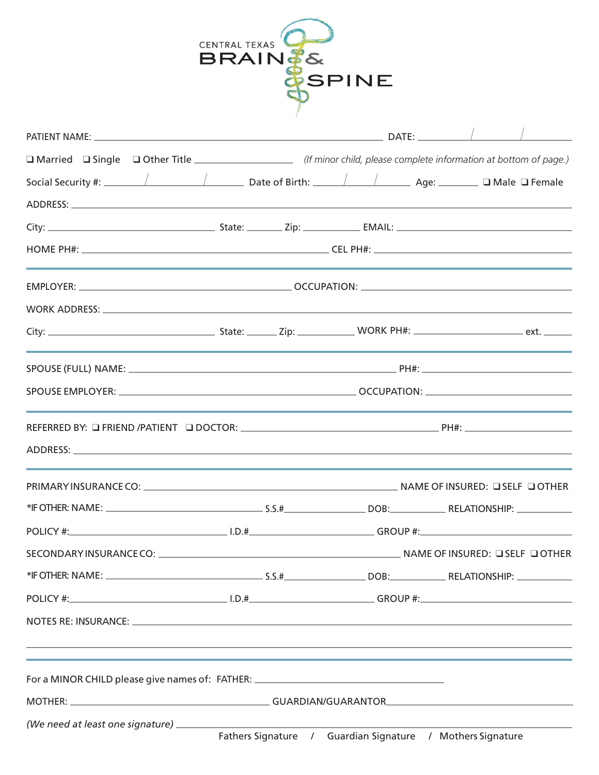|                                                                                                                                                                                                                                | CENTRAL TEXAS | <b>BRAIN&amp;</b> |                                                            |  |  |
|--------------------------------------------------------------------------------------------------------------------------------------------------------------------------------------------------------------------------------|---------------|-------------------|------------------------------------------------------------|--|--|
|                                                                                                                                                                                                                                |               |                   | <b>&amp;SPINE</b>                                          |  |  |
|                                                                                                                                                                                                                                |               |                   |                                                            |  |  |
| □ Married □ Single □ Other Title __________________ (If minor child, please complete information at bottom of page.)                                                                                                           |               |                   |                                                            |  |  |
|                                                                                                                                                                                                                                |               |                   |                                                            |  |  |
|                                                                                                                                                                                                                                |               |                   |                                                            |  |  |
|                                                                                                                                                                                                                                |               |                   |                                                            |  |  |
|                                                                                                                                                                                                                                |               |                   |                                                            |  |  |
|                                                                                                                                                                                                                                |               |                   |                                                            |  |  |
|                                                                                                                                                                                                                                |               |                   |                                                            |  |  |
|                                                                                                                                                                                                                                |               |                   |                                                            |  |  |
|                                                                                                                                                                                                                                |               |                   |                                                            |  |  |
|                                                                                                                                                                                                                                |               |                   |                                                            |  |  |
|                                                                                                                                                                                                                                |               |                   |                                                            |  |  |
|                                                                                                                                                                                                                                |               |                   |                                                            |  |  |
|                                                                                                                                                                                                                                |               |                   |                                                            |  |  |
|                                                                                                                                                                                                                                |               |                   |                                                            |  |  |
|                                                                                                                                                                                                                                |               |                   |                                                            |  |  |
|                                                                                                                                                                                                                                |               |                   |                                                            |  |  |
|                                                                                                                                                                                                                                |               |                   |                                                            |  |  |
|                                                                                                                                                                                                                                |               |                   |                                                            |  |  |
| NOTES RE: INSURANCE: New York CONSERVATION CONTROL CONTROL CONTROL CONTROL CONTROL CONTROL CONTROL CONTROL CONTROL CONTROL CONTROL CONTROL CONTROL CONTROL CONTROL CONTROL CONTROL CONTROL CONTROL CONTROL CONTROL CONTROL CON |               |                   |                                                            |  |  |
| For a MINOR CHILD please give names of: FATHER: ________________________________                                                                                                                                               |               |                   |                                                            |  |  |
|                                                                                                                                                                                                                                |               |                   |                                                            |  |  |
| (We need at least one signature) __________                                                                                                                                                                                    |               |                   | Fathers Signature / Guardian Signature / Mothers Signature |  |  |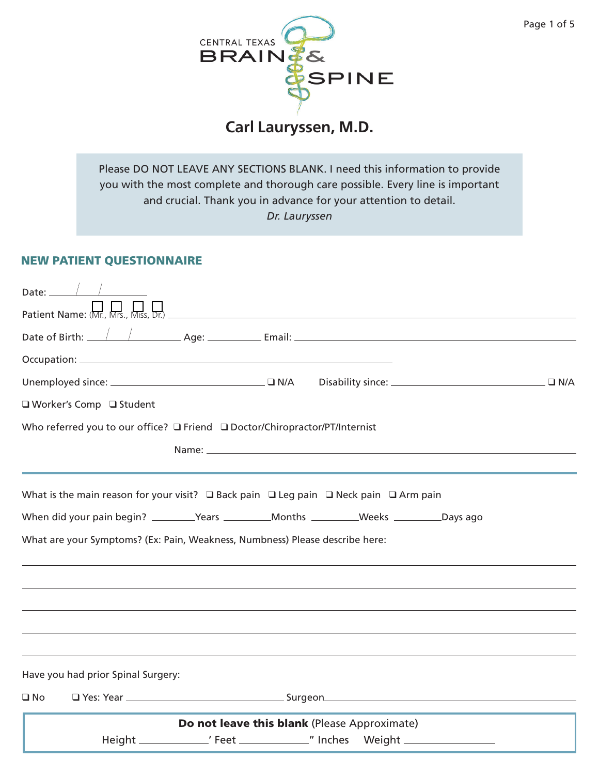

# **Carl Lauryssen, M.D.**

Please DO NOT LEAVE ANY SECTIONS BLANK. I need this information to provide you with the most complete and thorough care possible. Every line is important and crucial. Thank you in advance for your attention to detail. *Dr. Lauryssen*

### NEW PATIENT QUESTIONNAIRE

|              | Date: $\_\_$                                                                                              |                                              |  |  |  |
|--------------|-----------------------------------------------------------------------------------------------------------|----------------------------------------------|--|--|--|
|              |                                                                                                           |                                              |  |  |  |
|              |                                                                                                           |                                              |  |  |  |
|              |                                                                                                           |                                              |  |  |  |
|              |                                                                                                           |                                              |  |  |  |
|              | □ Worker's Comp □ Student                                                                                 |                                              |  |  |  |
|              | Who referred you to our office? □ Friend □ Doctor/Chiropractor/PT/Internist                               |                                              |  |  |  |
|              | What is the main reason for your visit? $\Box$ Back pain $\Box$ Leg pain $\Box$ Neck pain $\Box$ Arm pain |                                              |  |  |  |
|              | When did your pain begin? ________Years ___________Months __________Weeks __________Days ago              |                                              |  |  |  |
|              | What are your Symptoms? (Ex: Pain, Weakness, Numbness) Please describe here:                              |                                              |  |  |  |
|              |                                                                                                           |                                              |  |  |  |
|              |                                                                                                           |                                              |  |  |  |
|              |                                                                                                           |                                              |  |  |  |
|              |                                                                                                           |                                              |  |  |  |
|              | Have you had prior Spinal Surgery:                                                                        |                                              |  |  |  |
| $\square$ No |                                                                                                           |                                              |  |  |  |
|              |                                                                                                           | Do not leave this blank (Please Approximate) |  |  |  |
|              |                                                                                                           |                                              |  |  |  |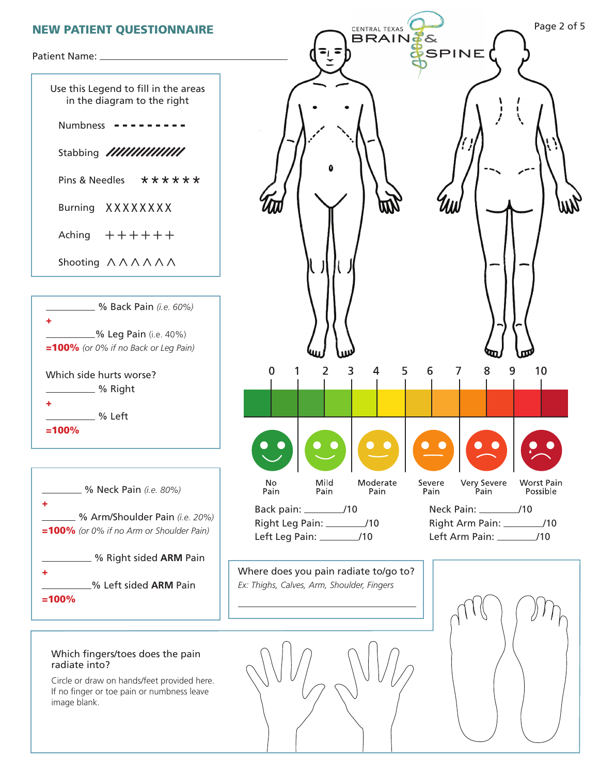

Use this Legend to fill in the areas in the diagram to the right Numbness --------- Stabbing /////////////// Pins & Needles Burning XXXXXXX Aching Shooting  $\land \land \land \land \land \land$ \*\*\*\*\*\* ++++++







#### Which fingers/toes does the pain radiate into?

Circle or draw on hands/feet provided here. If no finger or toe pain or numbness leave image blank.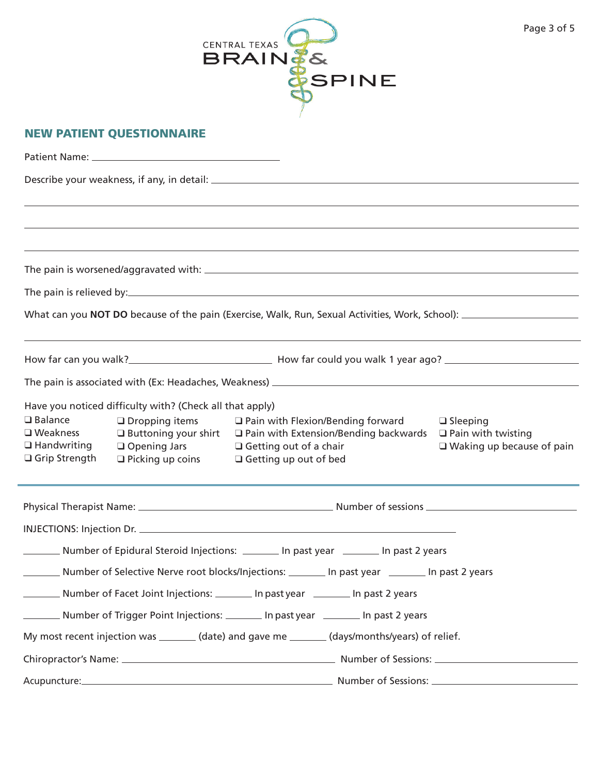

| $\Box$ Balance<br>$\Box$ Weakness<br>$\Box$ Handwriting<br>□ Grip Strength              | Have you noticed difficulty with? (Check all that apply)<br>$\Box$ Dropping items<br>$\Box$ Buttoning your shirt<br>$\Box$ Opening Jars<br>$\Box$ Picking up coins | $\Box$ Pain with Flexion/Bending forward<br>$\Box$ Sleeping<br>□ Pain with Extension/Bending backwards<br>$\Box$ Pain with twisting<br>$\Box$ Getting out of a chair<br>$\Box$ Waking up because of pain<br>$\Box$ Getting up out of bed |  |  |  |  |  |
|-----------------------------------------------------------------------------------------|--------------------------------------------------------------------------------------------------------------------------------------------------------------------|------------------------------------------------------------------------------------------------------------------------------------------------------------------------------------------------------------------------------------------|--|--|--|--|--|
|                                                                                         |                                                                                                                                                                    |                                                                                                                                                                                                                                          |  |  |  |  |  |
|                                                                                         |                                                                                                                                                                    |                                                                                                                                                                                                                                          |  |  |  |  |  |
|                                                                                         |                                                                                                                                                                    | Number of Epidural Steroid Injections: _________ In past year _________ In past 2 years                                                                                                                                                  |  |  |  |  |  |
| $\mathcal{L}^{\text{max}}_{\text{max}}$ , where $\mathcal{L}^{\text{max}}_{\text{max}}$ |                                                                                                                                                                    | Number of Selective Nerve root blocks/Injections: ________ In past year ________ In past 2 years                                                                                                                                         |  |  |  |  |  |
|                                                                                         |                                                                                                                                                                    | Number of Facet Joint Injections: _______ In past year _______ In past 2 years                                                                                                                                                           |  |  |  |  |  |
|                                                                                         |                                                                                                                                                                    | _________ Number of Trigger Point Injections: _________ In past year __________ In past 2 years                                                                                                                                          |  |  |  |  |  |
|                                                                                         |                                                                                                                                                                    | My most recent injection was _______ (date) and gave me _______ (days/months/years) of relief.                                                                                                                                           |  |  |  |  |  |
|                                                                                         |                                                                                                                                                                    |                                                                                                                                                                                                                                          |  |  |  |  |  |
|                                                                                         |                                                                                                                                                                    |                                                                                                                                                                                                                                          |  |  |  |  |  |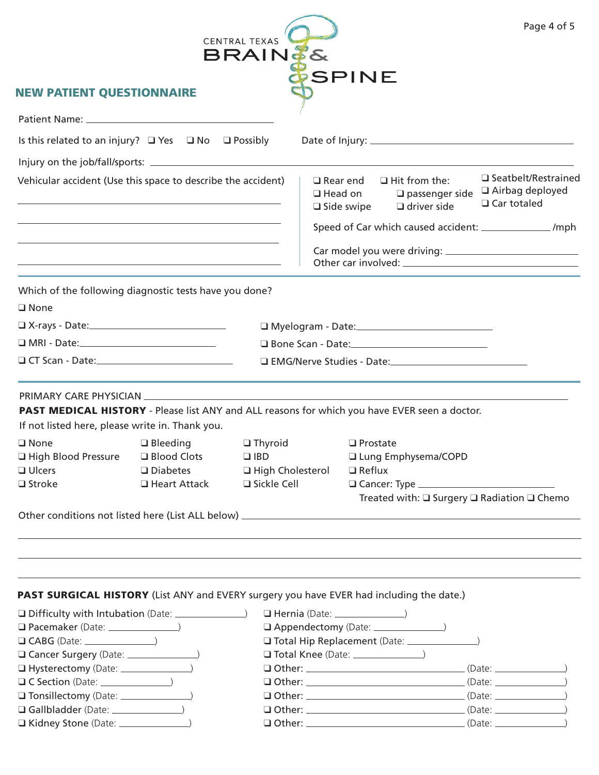|                                                                                                                                                                                                  |                                                                  | CENTRAL TEXAS<br><b>BRAINES</b> |                                                           |                                                                        | Page 4 of 5                                                         |
|--------------------------------------------------------------------------------------------------------------------------------------------------------------------------------------------------|------------------------------------------------------------------|---------------------------------|-----------------------------------------------------------|------------------------------------------------------------------------|---------------------------------------------------------------------|
| <b>NEW PATIENT QUESTIONNAIRE</b>                                                                                                                                                                 |                                                                  |                                 | <b>SPINE</b>                                              |                                                                        |                                                                     |
|                                                                                                                                                                                                  |                                                                  |                                 |                                                           |                                                                        |                                                                     |
| Is this related to an injury? $\Box$ Yes $\Box$ No $\Box$ Possibly                                                                                                                               |                                                                  |                                 |                                                           |                                                                        |                                                                     |
|                                                                                                                                                                                                  |                                                                  |                                 |                                                           |                                                                        |                                                                     |
|                                                                                                                                                                                                  |                                                                  |                                 |                                                           |                                                                        |                                                                     |
| Vehicular accident (Use this space to describe the accident)                                                                                                                                     |                                                                  |                                 | $\square$ Rear end<br>$\Box$ Head on<br>$\Box$ Side swipe | $\Box$ Hit from the:<br>$\square$ passenger side<br>$\Box$ driver side | $\square$ Seatbelt/Restrained<br>□ Airbag deployed<br>□ Car totaled |
|                                                                                                                                                                                                  | <u> 1989 - Johann Stoff, amerikansk politiker (d. 1989)</u>      |                                 |                                                           |                                                                        | Speed of Car which caused accident: _________________ /mph          |
|                                                                                                                                                                                                  | <u> 1980 - Andrea Stadt Britain, amerikansk politik (* 1950)</u> |                                 |                                                           |                                                                        |                                                                     |
| Which of the following diagnostic tests have you done?<br>$\Box$ None                                                                                                                            |                                                                  |                                 |                                                           |                                                                        |                                                                     |
|                                                                                                                                                                                                  |                                                                  |                                 |                                                           |                                                                        |                                                                     |
|                                                                                                                                                                                                  |                                                                  |                                 |                                                           | □ Bone Scan - Date: <u>2000 - 2000 - 2000</u>                          |                                                                     |
|                                                                                                                                                                                                  |                                                                  |                                 |                                                           |                                                                        |                                                                     |
| PAST MEDICAL HISTORY - Please list ANY and ALL reasons for which you have EVER seen a doctor.<br>If not listed here, please write in. Thank you.<br>□ None → □ Bleeding → □ Thyroid → □ Prostate |                                                                  |                                 |                                                           |                                                                        |                                                                     |
| High Blood Pressure                                                                                                                                                                              | □ Blood Clots                                                    | $\Box$ IBD                      |                                                           | Lung Emphysema/COPD                                                    |                                                                     |
| $\Box$ Ulcers                                                                                                                                                                                    | $\square$ Diabetes                                               | □ High Cholesterol              | $\Box$ Reflux                                             |                                                                        |                                                                     |
| $\Box$ Stroke                                                                                                                                                                                    | $\Box$ Heart Attack                                              | $\Box$ Sickle Cell              |                                                           |                                                                        |                                                                     |
|                                                                                                                                                                                                  |                                                                  |                                 |                                                           |                                                                        | Treated with: $\square$ Surgery $\square$ Radiation $\square$ Chemo |
|                                                                                                                                                                                                  |                                                                  |                                 |                                                           |                                                                        |                                                                     |
|                                                                                                                                                                                                  |                                                                  |                                 |                                                           |                                                                        |                                                                     |
| <b>PAST SURGICAL HISTORY</b> (List ANY and EVERY surgery you have EVER had including the date.)                                                                                                  |                                                                  |                                 |                                                           |                                                                        |                                                                     |
| □ Difficulty with Intubation (Date: <u></u>                                                                                                                                                      |                                                                  |                                 |                                                           |                                                                        |                                                                     |
|                                                                                                                                                                                                  |                                                                  |                                 |                                                           |                                                                        |                                                                     |
|                                                                                                                                                                                                  |                                                                  |                                 |                                                           |                                                                        |                                                                     |
|                                                                                                                                                                                                  |                                                                  |                                 |                                                           |                                                                        |                                                                     |
| $\Box$ C Section (Date: $\Box$                                                                                                                                                                   |                                                                  |                                 |                                                           |                                                                        |                                                                     |
|                                                                                                                                                                                                  |                                                                  |                                 |                                                           |                                                                        |                                                                     |
|                                                                                                                                                                                                  |                                                                  |                                 |                                                           |                                                                        |                                                                     |
|                                                                                                                                                                                                  |                                                                  |                                 |                                                           |                                                                        |                                                                     |
|                                                                                                                                                                                                  |                                                                  |                                 |                                                           |                                                                        |                                                                     |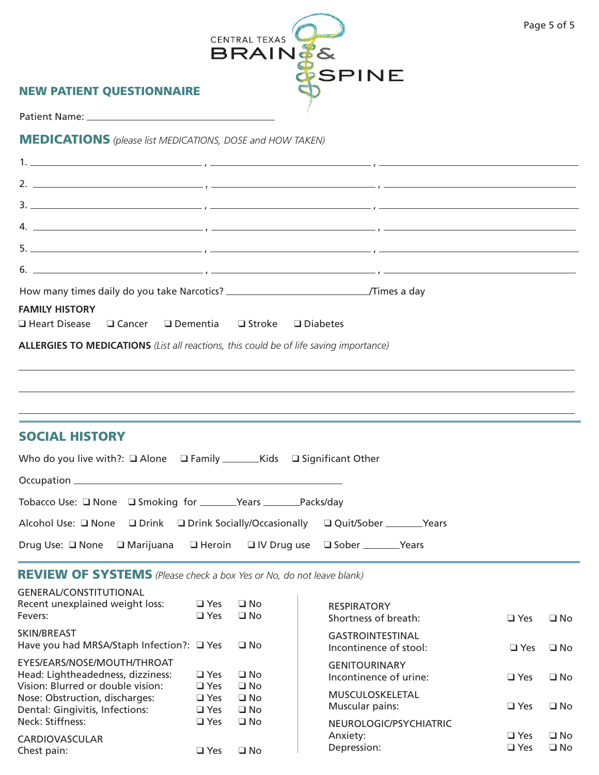|                                                                                                                                                                                                                                                                                                        | CENTRAL TEXAS<br><b>BRAIN#&amp;</b>                                                                                                                                                                                                                                                                                    | Page 5 of 5 |
|--------------------------------------------------------------------------------------------------------------------------------------------------------------------------------------------------------------------------------------------------------------------------------------------------------|------------------------------------------------------------------------------------------------------------------------------------------------------------------------------------------------------------------------------------------------------------------------------------------------------------------------|-------------|
| <b>NEW PATIENT QUESTIONNAIRE</b>                                                                                                                                                                                                                                                                       | SPINE                                                                                                                                                                                                                                                                                                                  |             |
|                                                                                                                                                                                                                                                                                                        |                                                                                                                                                                                                                                                                                                                        |             |
| <b>MEDICATIONS</b> (please list MEDICATIONS, DOSE and HOW TAKEN)                                                                                                                                                                                                                                       |                                                                                                                                                                                                                                                                                                                        |             |
|                                                                                                                                                                                                                                                                                                        |                                                                                                                                                                                                                                                                                                                        |             |
|                                                                                                                                                                                                                                                                                                        | 2. $\frac{1}{2}$ $\frac{1}{2}$ $\frac{1}{2}$ $\frac{1}{2}$ $\frac{1}{2}$ $\frac{1}{2}$ $\frac{1}{2}$ $\frac{1}{2}$ $\frac{1}{2}$ $\frac{1}{2}$ $\frac{1}{2}$ $\frac{1}{2}$ $\frac{1}{2}$ $\frac{1}{2}$ $\frac{1}{2}$ $\frac{1}{2}$ $\frac{1}{2}$ $\frac{1}{2}$ $\frac{1}{2}$ $\frac{1}{2}$ $\frac{1}{2}$ $\frac{1}{2}$ |             |
|                                                                                                                                                                                                                                                                                                        |                                                                                                                                                                                                                                                                                                                        |             |
|                                                                                                                                                                                                                                                                                                        |                                                                                                                                                                                                                                                                                                                        |             |
| $\frac{1}{2}$                                                                                                                                                                                                                                                                                          |                                                                                                                                                                                                                                                                                                                        |             |
| 6. $\frac{1}{2}$ , $\frac{1}{2}$ , $\frac{1}{2}$ , $\frac{1}{2}$ , $\frac{1}{2}$ , $\frac{1}{2}$ , $\frac{1}{2}$ , $\frac{1}{2}$ , $\frac{1}{2}$ , $\frac{1}{2}$ , $\frac{1}{2}$ , $\frac{1}{2}$ , $\frac{1}{2}$ , $\frac{1}{2}$ , $\frac{1}{2}$ , $\frac{1}{2}$ , $\frac{1}{2}$ , $\frac{1}{2}$ , $\$ |                                                                                                                                                                                                                                                                                                                        |             |
| <b>FAMILY HISTORY</b><br>$\square$ Heart Disease<br>ALLERGIES TO MEDICATIONS (List all reactions, this could be of life saving importance)                                                                                                                                                             | $\Box$ Cancer $\Box$ Dementia $\Box$ Stroke $\Box$ Diabetes                                                                                                                                                                                                                                                            |             |
| <b>SOCIAL HISTORY</b>                                                                                                                                                                                                                                                                                  |                                                                                                                                                                                                                                                                                                                        |             |
|                                                                                                                                                                                                                                                                                                        |                                                                                                                                                                                                                                                                                                                        |             |
|                                                                                                                                                                                                                                                                                                        |                                                                                                                                                                                                                                                                                                                        |             |
|                                                                                                                                                                                                                                                                                                        |                                                                                                                                                                                                                                                                                                                        |             |
|                                                                                                                                                                                                                                                                                                        | Alcohol Use: □ None □ Drink □ Drink Socially/Occasionally □ Quit/Sober ________Years                                                                                                                                                                                                                                   |             |
|                                                                                                                                                                                                                                                                                                        | Drug Use: □ None □ Marijuana □ Heroin □ IV Drug use □ Sober __________Years                                                                                                                                                                                                                                            |             |
| <b>REVIEW OF SYSTEMS</b> (Please check a box Yes or No, do not leave blank)                                                                                                                                                                                                                            |                                                                                                                                                                                                                                                                                                                        |             |

| <b>GENERAL/CONSTITUTIONAL</b><br>Recent unexplained weight loss:<br>Fevers:                           | $\Box$ Yes<br>$\Box$ Yes               | $\Box$ No<br>$\Box$ No                 | <b>RESPIRATORY</b><br>Shortness of breath:                          | $\Box$ Yes               | $\Box$ No                    |
|-------------------------------------------------------------------------------------------------------|----------------------------------------|----------------------------------------|---------------------------------------------------------------------|--------------------------|------------------------------|
| SKIN/BREAST<br>Have you had MRSA/Staph Infection?: $\Box$ Yes                                         |                                        | $\square$ No                           | <b>GASTROINTESTINAL</b><br>Incontinence of stool:                   | $\Box$ Yes               | $\Box$ No                    |
| EYES/EARS/NOSE/MOUTH/THROAT<br>Head: Lightheadedness, dizziness:<br>Vision: Blurred or double vision: | $\Box$ Yes<br>$\Box$ Yes               | $\Box$ No<br>$\square$ No              | <b>GENITOURINARY</b><br>Incontinence of urine:                      | $\Box$ Yes               | $\Box$ No                    |
| Nose: Obstruction, discharges:<br>Dental: Gingivitis, Infections:<br>Neck: Stiffness:                 | $\Box$ Yes<br>$\Box$ Yes<br>$\Box$ Yes | $\Box$ No<br>$\square$ No<br>$\Box$ No | <b>MUSCULOSKELETAL</b><br>Muscular pains:<br>NEUROLOGIC/PSYCHIATRIC | $\Box$ Yes               | $\Box$ No                    |
| <b>CARDIOVASCULAR</b><br>Chest pain:                                                                  | $\Box$ Yes                             | $\Box$ No                              | Anxiety:<br>Depression:                                             | $\Box$ Yes<br>$\Box$ Yes | $\square$ No<br>$\square$ No |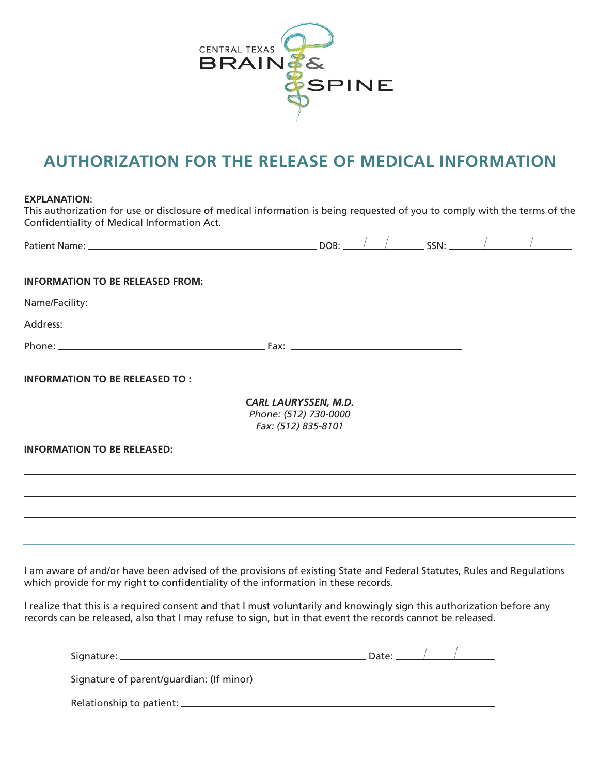

# **AUTHORIZATION FOR THE RELEASE OF MEDICAL INFORMATION**

#### **EXPLANATION**:

This authorization for use or disclosure of medical information is being requested of you to comply with the terms of the Confidentiality of Medical Information Act.

| Patient Name: Name and Secretary Annual Secretary Annual Secretary Annual Secretary Annual Secretary Annual Secretary Annual Secretary Annual Secretary Annual Secretary Annual Secretary Annual Secretary Annual Secretary An | DOB:                                                                        |  | $\frac{1}{\sqrt{1-\frac{1}{2}}}\sin\frac{1}{2}$ |  |
|--------------------------------------------------------------------------------------------------------------------------------------------------------------------------------------------------------------------------------|-----------------------------------------------------------------------------|--|-------------------------------------------------|--|
| <b>INFORMATION TO BE RELEASED FROM:</b>                                                                                                                                                                                        |                                                                             |  |                                                 |  |
|                                                                                                                                                                                                                                |                                                                             |  |                                                 |  |
|                                                                                                                                                                                                                                |                                                                             |  |                                                 |  |
|                                                                                                                                                                                                                                |                                                                             |  |                                                 |  |
| <b>INFORMATION TO BE RELEASED TO:</b>                                                                                                                                                                                          |                                                                             |  |                                                 |  |
|                                                                                                                                                                                                                                | <b>CARL LAURYSSEN, M.D.</b><br>Phone: (512) 730-0000<br>Fax: (512) 835-8101 |  |                                                 |  |
| <b>INFORMATION TO BE RELEASED:</b>                                                                                                                                                                                             |                                                                             |  |                                                 |  |
|                                                                                                                                                                                                                                |                                                                             |  |                                                 |  |
| ,我们也不会有什么。""我们的人,我们也不会有什么?""我们的人,我们也不会有什么?""我们的人,我们也不会有什么?""我们的人,我们也不会有什么?""我们的人                                                                                                                                               |                                                                             |  |                                                 |  |
|                                                                                                                                                                                                                                |                                                                             |  |                                                 |  |
| I am aware of and/or have been advised of the provisions of existing State and Federal Statutes, Rules and Regulations<br>which provide for my right to confidentiality of the information in these records.                   |                                                                             |  |                                                 |  |
| I realize that this is a required consent and that I must voluntarily and knowingly sign this authorization before any                                                                                                         |                                                                             |  |                                                 |  |

| Signature: _                                 | Date: |  |
|----------------------------------------------|-------|--|
| Signature of parent/guardian: (If minor) ___ |       |  |
|                                              |       |  |

records can be released, also that I may refuse to sign, but in that event the records cannot be released.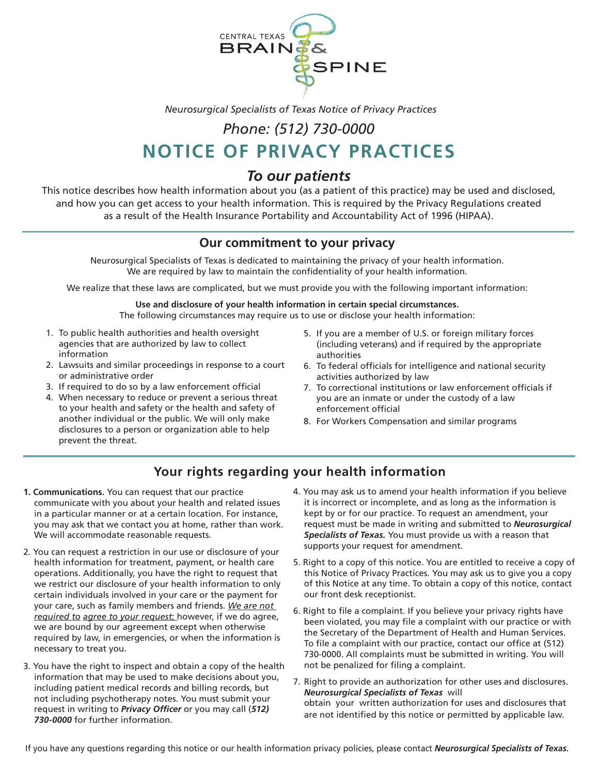

*Neurosurgical Specialists of Texas Notice of Privacy Practices*

## *Phone: (512) 730-0000*

# **NOTICE OF PRIVACY PRACTICES**

## *To our patients*

This notice describes how health information about you (as a patient of this practice) may be used and disclosed, and how you can get access to your health information. This is required by the Privacy Regulations created as a result of the Health Insurance Portability and Accountability Act of 1996 (HIPAA).

## **Our commitment to your privacy**

Neurosurgical Specialists of Texas is dedicated to maintaining the privacy of your health information. We are required by law to maintain the confidentiality of your health information.

We realize that these laws are complicated, but we must provide you with the following important information:

## **Use and disclosure of your health information in certain special circumstances.**

The following circumstances may require us to use or disclose your health information:

- 1. To public health authorities and health oversight agencies that are authorized by law to collect information
- 2. Lawsuits and similar proceedings in response to a court or administrative order
- 3. If required to do so by a law enforcement official
- 4. When necessary to reduce or prevent a serious threat to your health and safety or the health and safety of another individual or the public. We will only make disclosures to a person or organization able to help prevent the threat.
- 5. If you are a member of U.S. or foreign military forces (including veterans) and if required by the appropriate authorities
- 6. To federal officials for intelligence and national security activities authorized by law
- 7. To correctional institutions or law enforcement officials if you are an inmate or under the custody of a law enforcement official
- 8. For Workers Compensation and similar programs

## **Your rights regarding your health information**

- **1. Communications.** You can request that our practice communicate with you about your health and related issues in a particular manner or at a certain location. For instance, you may ask that we contact you at home, rather than work. We will accommodate reasonable requests.
- 2. You can request a restriction in our use or disclosure of your health information for treatment, payment, or health care operations. Additionally, you have the right to request that we restrict our disclosure of your health information to only certain individuals involved in your care or the payment for your care, such as family members and friends. *We are not required to agree to your request*; however, if we do agree, we are bound by our agreement except when otherwise required by law, in emergencies, or when the information is necessary to treat you.
- 3. You have the right to inspect and obtain a copy of the health information that may be used to make decisions about you, including patient medical records and billing records, but not including psychotherapy notes. You must submit your request in writing to *Privacy Officer* or you may call (*512) 730-0000* for further information.
- 4. You may ask us to amend your health information if you believe it is incorrect or incomplete, and as long as the information is kept by or for our practice. To request an amendment, your request must be made in writing and submitted to *Neurosurgical Specialists of Texas.* You must provide us with a reason that supports your request for amendment.
- 5. Right to a copy of this notice. You are entitled to receive a copy of this Notice of Privacy Practices. You may ask us to give you a copy of this Notice at any time. To obtain a copy of this notice, contact our front desk receptionist.
- 6. Right to file a complaint. If you believe your privacy rights have been violated, you may file a complaint with our practice or with the Secretary of the Department of Health and Human Services. To file a complaint with our practice, contact our office at (512) 730-0000. All complaints must be submitted in writing. You will not be penalized for filing a complaint.
- 7. Right to provide an authorization for other uses and disclosures. *Neurosurgical Specialists of Texas* will obtain your written authorization for uses and disclosures that are not identified by this notice or permitted by applicable law.

If you have any questions regarding this notice or our health information privacy policies, please contact *Neurosurgical Specialists of Texas.*